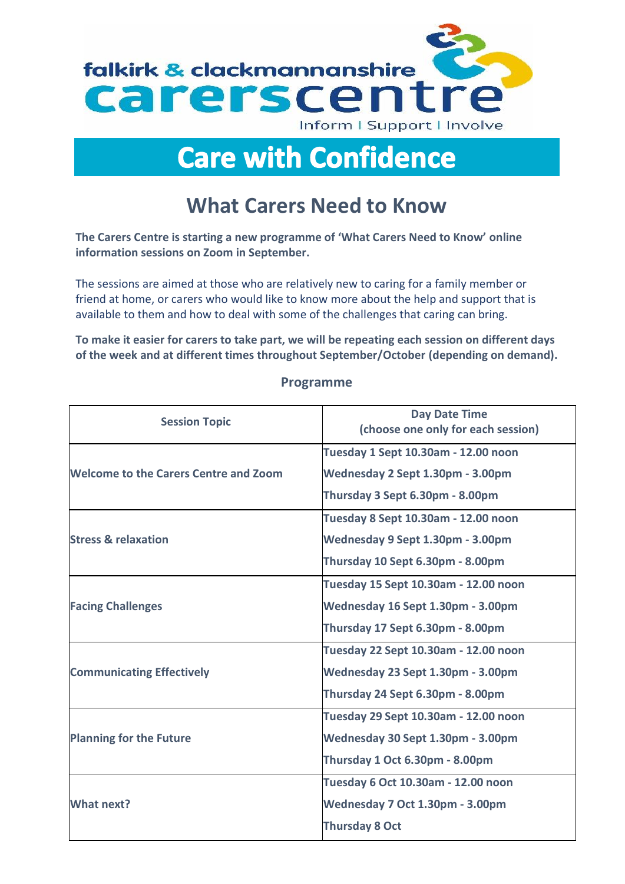

## **Care with Confidence**

## **What Carers Need to Know**

**The Carers Centre is starting a new programme of 'What Carers Need to Know' online information sessions on Zoom in September.**

The sessions are aimed at those who are relatively new to caring for a family member or friend at home, or carers who would like to know more about the help and support that is available to them and how to deal with some of the challenges that caring can bring.

**To make it easier for carers to take part, we will be repeating each session on different days of the week and at different times throughout September/October (depending on demand).** 

| <b>Session Topic</b>                         | <b>Day Date Time</b><br>(choose one only for each session) |
|----------------------------------------------|------------------------------------------------------------|
| <b>Welcome to the Carers Centre and Zoom</b> | Tuesday 1 Sept 10.30am - 12.00 noon                        |
|                                              | Wednesday 2 Sept 1.30pm - 3.00pm                           |
|                                              | Thursday 3 Sept 6.30pm - 8.00pm                            |
| <b>Stress &amp; relaxation</b>               | Tuesday 8 Sept 10.30am - 12.00 noon                        |
|                                              | Wednesday 9 Sept 1.30pm - 3.00pm                           |
|                                              | Thursday 10 Sept 6.30pm - 8.00pm                           |
| <b>Facing Challenges</b>                     | Tuesday 15 Sept 10.30am - 12.00 noon                       |
|                                              | Wednesday 16 Sept 1.30pm - 3.00pm                          |
|                                              | Thursday 17 Sept 6.30pm - 8.00pm                           |
| <b>Communicating Effectively</b>             | Tuesday 22 Sept 10.30am - 12.00 noon                       |
|                                              | Wednesday 23 Sept 1.30pm - 3.00pm                          |
|                                              | Thursday 24 Sept 6.30pm - 8.00pm                           |
| <b>Planning for the Future</b>               | Tuesday 29 Sept 10.30am - 12.00 noon                       |
|                                              | Wednesday 30 Sept 1.30pm - 3.00pm                          |
|                                              | Thursday 1 Oct 6.30pm - 8.00pm                             |
| <b>What next?</b>                            | Tuesday 6 Oct 10.30am - 12.00 noon                         |
|                                              | Wednesday 7 Oct 1.30pm - 3.00pm                            |
|                                              | <b>Thursday 8 Oct</b>                                      |

## **Programme**